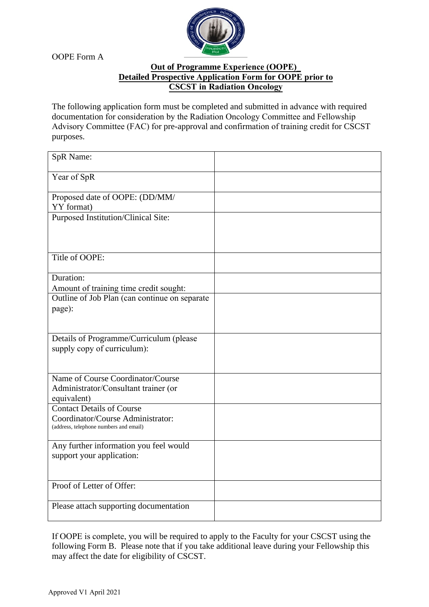OOPE Form A



## **Out of Programme Experience (OOPE)\_ Detailed Prospective Application Form for OOPE prior to CSCST in Radiation Oncology**

The following application form must be completed and submitted in advance with required documentation for consideration by the Radiation Oncology Committee and Fellowship Advisory Committee (FAC) for pre-approval and confirmation of training credit for CSCST purposes.

| SpR Name:                                       |  |
|-------------------------------------------------|--|
| Year of SpR                                     |  |
| Proposed date of OOPE: (DD/MM/<br>YY format)    |  |
| <b>Purposed Institution/Clinical Site:</b>      |  |
|                                                 |  |
| Title of OOPE:                                  |  |
| Duration:                                       |  |
| Amount of training time credit sought:          |  |
| Outline of Job Plan (can continue on separate   |  |
| page):                                          |  |
|                                                 |  |
| Details of Programme/Curriculum (please         |  |
| supply copy of curriculum):                     |  |
|                                                 |  |
| Name of Course Coordinator/Course               |  |
| Administrator/Consultant trainer (or            |  |
| equivalent)<br><b>Contact Details of Course</b> |  |
| Coordinator/Course Administrator:               |  |
| (address, telephone numbers and email)          |  |
|                                                 |  |
| Any further information you feel would          |  |
| support your application:                       |  |
|                                                 |  |
| Proof of Letter of Offer:                       |  |
|                                                 |  |
| Please attach supporting documentation          |  |
|                                                 |  |

If OOPE is complete, you will be required to apply to the Faculty for your CSCST using the following Form B. Please note that if you take additional leave during your Fellowship this may affect the date for eligibility of CSCST.